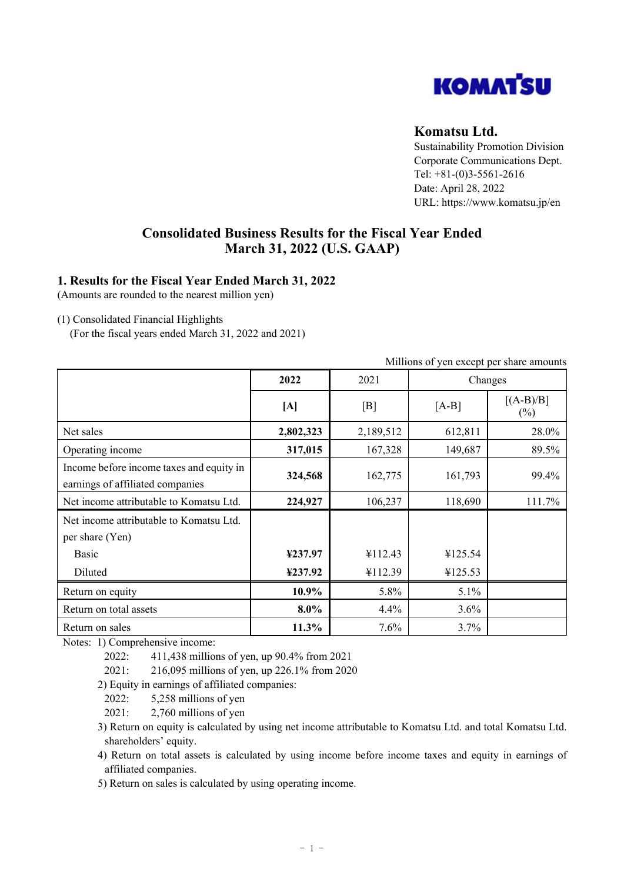

# **Komatsu Ltd.**

Sustainability Promotion Division Corporate Communications Dept. Tel: +81-(0)3-5561-2616 Date: April 28, 2022 URL: https://www.komatsu.jp/en

# **Consolidated Business Results for the Fiscal Year Ended March 31, 2022 (U.S. GAAP)**

### **1. Results for the Fiscal Year Ended March 31, 2022**

(Amounts are rounded to the nearest million yen)

#### (1) Consolidated Financial Highlights

(For the fiscal years ended March 31, 2022 and 2021)

| Millions of yen except per share amounts                                     |           |           |         |                       |
|------------------------------------------------------------------------------|-----------|-----------|---------|-----------------------|
|                                                                              | 2022      | 2021      | Changes |                       |
|                                                                              | [A]       | [B]       | $[A-B]$ | $[(A-B)/B]$<br>$(\%)$ |
| Net sales                                                                    | 2,802,323 | 2,189,512 | 612,811 | 28.0%                 |
| Operating income                                                             | 317,015   | 167,328   | 149,687 | 89.5%                 |
| Income before income taxes and equity in<br>earnings of affiliated companies | 324,568   | 162,775   | 161,793 | 99.4%                 |
| Net income attributable to Komatsu Ltd.                                      | 224,927   | 106,237   | 118,690 | 111.7%                |
| Net income attributable to Komatsu Ltd.<br>per share (Yen)                   |           |           |         |                       |
| <b>Basic</b>                                                                 | ¥237.97   | ¥112.43   | ¥125.54 |                       |
| Diluted                                                                      | ¥237.92   | ¥112.39   | ¥125.53 |                       |
| Return on equity                                                             | 10.9%     | 5.8%      | 5.1%    |                       |
| Return on total assets                                                       | $8.0\%$   | $4.4\%$   | 3.6%    |                       |
| Return on sales                                                              | 11.3%     | $7.6\%$   | 3.7%    |                       |

Notes: 1) Comprehensive income:

- 2022: 411,438 millions of yen, up 90.4% from 2021
- 2021: 216,095 millions of yen, up 226.1% from 2020

2) Equity in earnings of affiliated companies:

- 2022: 5,258 millions of yen
- 2021: 2,760 millions of yen
- 3) Return on equity is calculated by using net income attributable to Komatsu Ltd. and total Komatsu Ltd. shareholders' equity.
- 4) Return on total assets is calculated by using income before income taxes and equity in earnings of affiliated companies.

5) Return on sales is calculated by using operating income.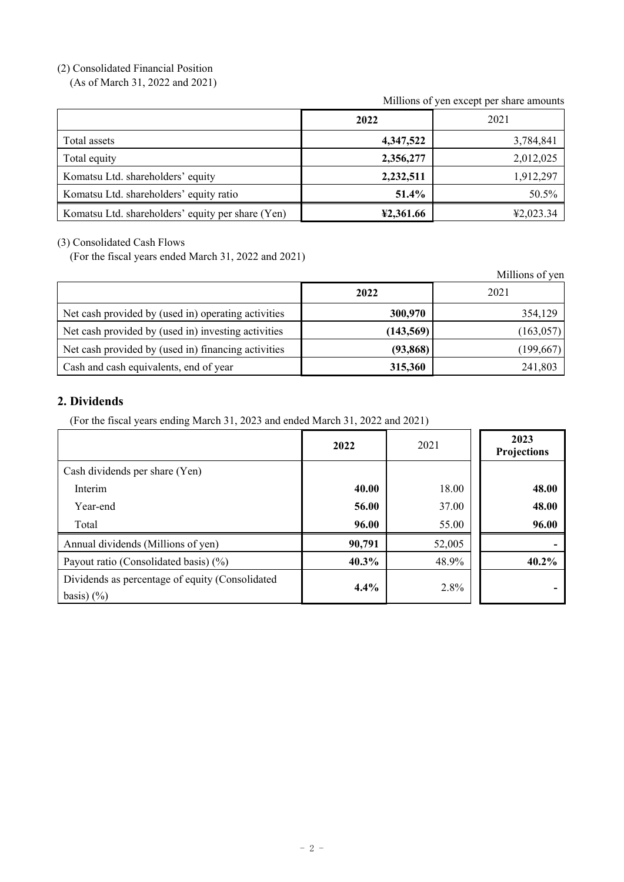# (2) Consolidated Financial Position

(As of March 31, 2022 and 2021)

### Millions of yen except per share amounts

|                                                   | 2022      | 2021      |
|---------------------------------------------------|-----------|-----------|
| Total assets                                      | 4,347,522 | 3,784,841 |
| Total equity                                      | 2,356,277 | 2,012,025 |
| Komatsu Ltd. shareholders' equity                 | 2,232,511 | 1,912,297 |
| Komatsu Ltd. shareholders' equity ratio           | 51.4%     | 50.5%     |
| Komatsu Ltd. shareholders' equity per share (Yen) | ¥2,361.66 | ¥2,023.34 |

### (3) Consolidated Cash Flows

(For the fiscal years ended March 31, 2022 and 2021)

|                                                     | Millions of yen |            |  |
|-----------------------------------------------------|-----------------|------------|--|
|                                                     | 2022            | 2021       |  |
| Net cash provided by (used in) operating activities | 300,970         | 354,129    |  |
| Net cash provided by (used in) investing activities | (143, 569)      | (163, 057) |  |
| Net cash provided by (used in) financing activities | (93, 868)       | (199,667)  |  |
| Cash and cash equivalents, end of year              | 315,360         | 241,803    |  |

# **2. Dividends**

(For the fiscal years ending March 31, 2023 and ended March 31, 2022 and 2021)

|                                                                   | 2022     | 2021   | 2023<br>Projections |
|-------------------------------------------------------------------|----------|--------|---------------------|
| Cash dividends per share (Yen)                                    |          |        |                     |
| Interim                                                           | 40.00    | 18.00  | 48.00               |
| Year-end                                                          | 56.00    | 37.00  | 48.00               |
| Total                                                             | 96.00    | 55.00  | 96.00               |
| Annual dividends (Millions of yen)                                | 90,791   | 52,005 |                     |
| Payout ratio (Consolidated basis) (%)                             | $40.3\%$ | 48.9%  | 40.2%               |
| Dividends as percentage of equity (Consolidated<br>basis) $(\% )$ | 4.4%     | 2.8%   |                     |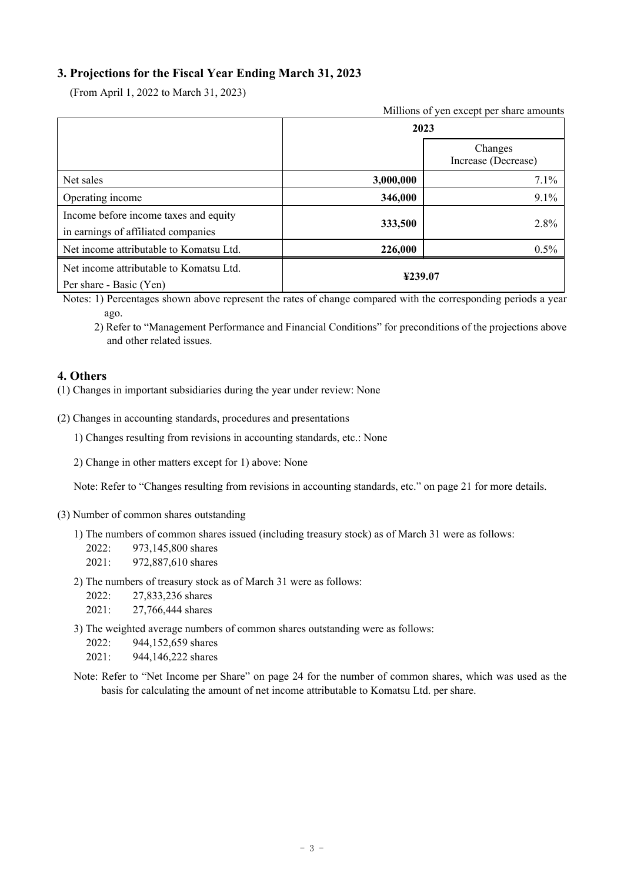# **3. Projections for the Fiscal Year Ending March 31, 2023**

(From April 1, 2022 to March 31, 2023)

| MILITORIS OF YOU EXCOPL DET SHATE AMOUNTS                                    |                                |         |  |
|------------------------------------------------------------------------------|--------------------------------|---------|--|
|                                                                              | 2023                           |         |  |
|                                                                              | Changes<br>Increase (Decrease) |         |  |
| Net sales                                                                    | 3,000,000                      | 7.1%    |  |
| Operating income                                                             | 346,000                        | 9.1%    |  |
| Income before income taxes and equity<br>in earnings of affiliated companies | 333,500                        | 2.8%    |  |
| Net income attributable to Komatsu Ltd.                                      | 226,000                        | $0.5\%$ |  |
| Net income attributable to Komatsu Ltd.<br>Per share - Basic (Yen)           | ¥239.07                        |         |  |

 Notes: 1) Percentages shown above represent the rates of change compared with the corresponding periods a year ago.

2) Refer to "Management Performance and Financial Conditions" for preconditions of the projections above and other related issues.

### **4. Others**

(1) Changes in important subsidiaries during the year under review: None

(2) Changes in accounting standards, procedures and presentations

- 1) Changes resulting from revisions in accounting standards, etc.: None
- 2) Change in other matters except for 1) above: None

Note: Refer to "Changes resulting from revisions in accounting standards, etc." on page 21 for more details.

- (3) Number of common shares outstanding
	- 1) The numbers of common shares issued (including treasury stock) as of March 31 were as follows: 2022: 973,145,800 shares
		- 2021: 972,887,610 shares
	- 2) The numbers of treasury stock as of March 31 were as follows:
		- 2022: 27,833,236 shares
		- 2021: 27,766,444 shares
	- 3) The weighted average numbers of common shares outstanding were as follows:
		- 2022: 944,152,659 shares
		- 2021: 944,146,222 shares
	- Note: Refer to "Net Income per Share" on page 24 for the number of common shares, which was used as the basis for calculating the amount of net income attributable to Komatsu Ltd. per share.

Millions of yen except per share amounts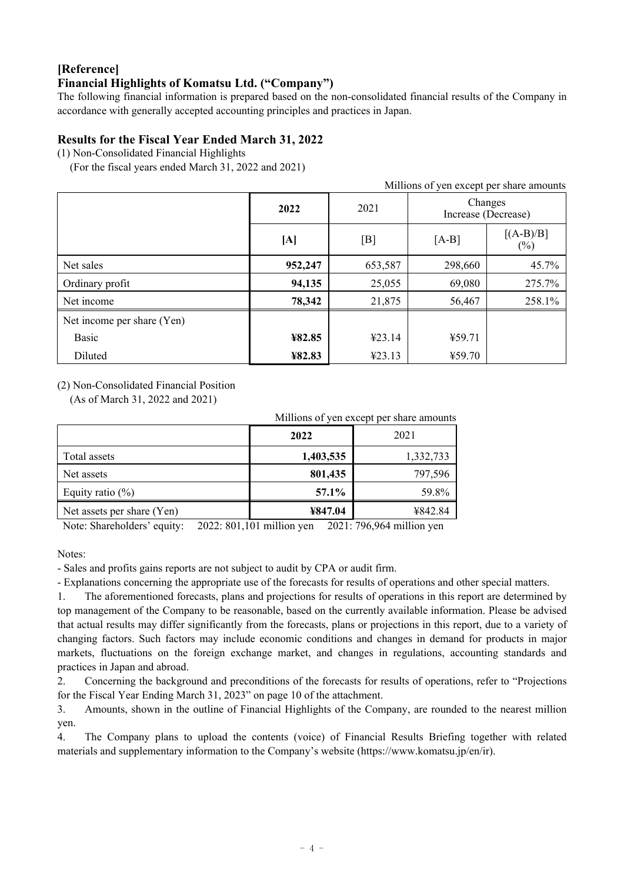# **[Reference] Financial Highlights of Komatsu Ltd. ("Company")**

The following financial information is prepared based on the non-consolidated financial results of the Company in accordance with generally accepted accounting principles and practices in Japan.

# **Results for the Fiscal Year Ended March 31, 2022**

(1) Non-Consolidated Financial Highlights

(For the fiscal years ended March 31, 2022 and 2021)

|                            |              |         |         | <b>Minimum</b> of you except per share amounts |  |
|----------------------------|--------------|---------|---------|------------------------------------------------|--|
|                            | 2021<br>2022 |         |         | Changes<br>Increase (Decrease)                 |  |
|                            | [A]          | [B]     | $[A-B]$ | $[(A-B)/B]$<br>$(\%)$                          |  |
| Net sales                  | 952,247      | 653,587 | 298,660 | 45.7%                                          |  |
| Ordinary profit            | 94,135       | 25,055  | 69,080  | 275.7%                                         |  |
| Net income                 | 78,342       | 21,875  | 56,467  | 258.1%                                         |  |
| Net income per share (Yen) |              |         |         |                                                |  |
| Basic                      | ¥82.85       | ¥23.14  | ¥59.71  |                                                |  |
| Diluted                    | ¥82.83       | 423.13  | ¥59.70  |                                                |  |

Millions of yen except per share amounts

(2) Non-Consolidated Financial Position

(As of March 31, 2022 and 2021)

Millions of yen except per share amounts

|                            | 2022      | 2021      |
|----------------------------|-----------|-----------|
| Total assets               | 1,403,535 | 1,332,733 |
| Net assets                 | 801,435   | 797,596   |
| Equity ratio $(\%)$        | 57.1%     | 59.8%     |
| Net assets per share (Yen) | ¥847.04   | ¥842.84   |

Note: Shareholders' equity: 2022: 801,101 million yen 2021: 796,964 million yen

Notes:

- Sales and profits gains reports are not subject to audit by CPA or audit firm.

- Explanations concerning the appropriate use of the forecasts for results of operations and other special matters.

1. The aforementioned forecasts, plans and projections for results of operations in this report are determined by top management of the Company to be reasonable, based on the currently available information. Please be advised that actual results may differ significantly from the forecasts, plans or projections in this report, due to a variety of changing factors. Such factors may include economic conditions and changes in demand for products in major markets, fluctuations on the foreign exchange market, and changes in regulations, accounting standards and practices in Japan and abroad.

2. Concerning the background and preconditions of the forecasts for results of operations, refer to "Projections for the Fiscal Year Ending March 31, 2023" on page 10 of the attachment.

3. Amounts, shown in the outline of Financial Highlights of the Company, are rounded to the nearest million yen.

4. The Company plans to upload the contents (voice) of Financial Results Briefing together with related materials and supplementary information to the Company's website (https://www.komatsu.jp/en/ir).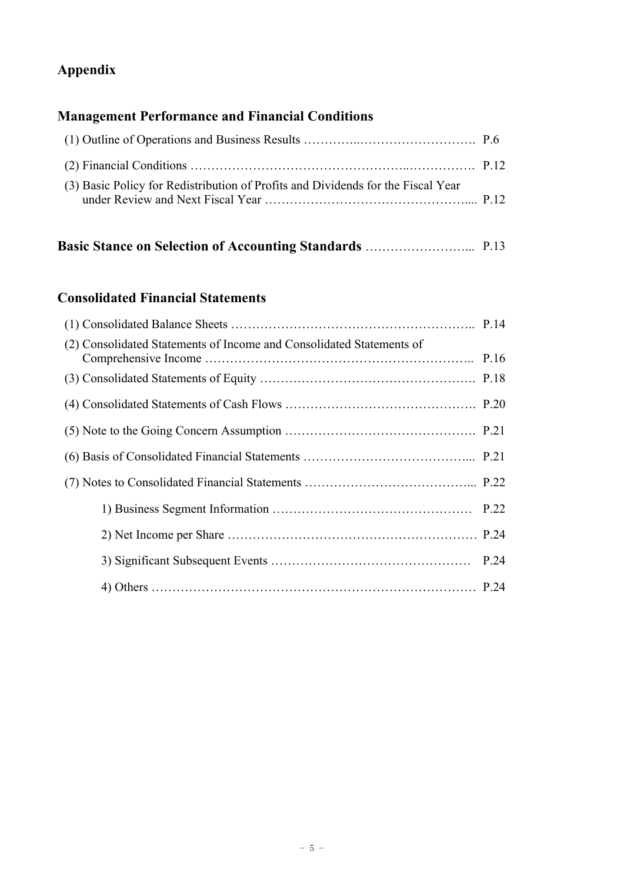# **Appendix**

# **Management Performance and Financial Conditions**

| (3) Basic Policy for Redistribution of Profits and Dividends for the Fiscal Year |  |
|----------------------------------------------------------------------------------|--|

|--|--|

# **Consolidated Financial Statements**

| (2) Consolidated Statements of Income and Consolidated Statements of |  |
|----------------------------------------------------------------------|--|
|                                                                      |  |
|                                                                      |  |
|                                                                      |  |
|                                                                      |  |
|                                                                      |  |
|                                                                      |  |
|                                                                      |  |
|                                                                      |  |
|                                                                      |  |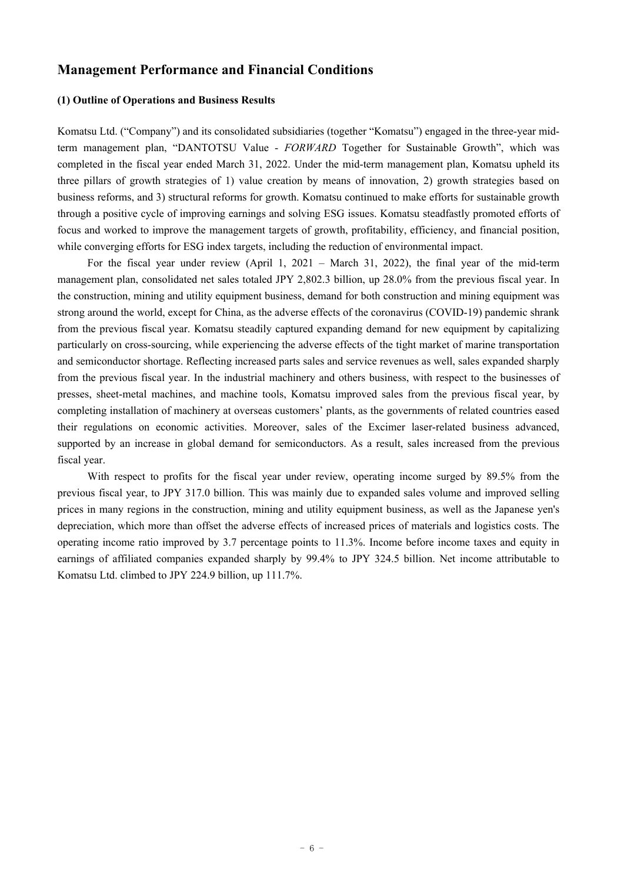### **Management Performance and Financial Conditions**

#### **(1) Outline of Operations and Business Results**

Komatsu Ltd. ("Company") and its consolidated subsidiaries (together "Komatsu") engaged in the three-year midterm management plan, "DANTOTSU Value - *FORWARD* Together for Sustainable Growth", which was completed in the fiscal year ended March 31, 2022. Under the mid-term management plan, Komatsu upheld its three pillars of growth strategies of 1) value creation by means of innovation, 2) growth strategies based on business reforms, and 3) structural reforms for growth. Komatsu continued to make efforts for sustainable growth through a positive cycle of improving earnings and solving ESG issues. Komatsu steadfastly promoted efforts of focus and worked to improve the management targets of growth, profitability, efficiency, and financial position, while converging efforts for ESG index targets, including the reduction of environmental impact.

 For the fiscal year under review (April 1, 2021 – March 31, 2022), the final year of the mid-term management plan, consolidated net sales totaled JPY 2,802.3 billion, up 28.0% from the previous fiscal year. In the construction, mining and utility equipment business, demand for both construction and mining equipment was strong around the world, except for China, as the adverse effects of the coronavirus (COVID-19) pandemic shrank from the previous fiscal year. Komatsu steadily captured expanding demand for new equipment by capitalizing particularly on cross-sourcing, while experiencing the adverse effects of the tight market of marine transportation and semiconductor shortage. Reflecting increased parts sales and service revenues as well, sales expanded sharply from the previous fiscal year. In the industrial machinery and others business, with respect to the businesses of presses, sheet-metal machines, and machine tools, Komatsu improved sales from the previous fiscal year, by completing installation of machinery at overseas customers' plants, as the governments of related countries eased their regulations on economic activities. Moreover, sales of the Excimer laser-related business advanced, supported by an increase in global demand for semiconductors. As a result, sales increased from the previous fiscal year.

 With respect to profits for the fiscal year under review, operating income surged by 89.5% from the previous fiscal year, to JPY 317.0 billion. This was mainly due to expanded sales volume and improved selling prices in many regions in the construction, mining and utility equipment business, as well as the Japanese yen's depreciation, which more than offset the adverse effects of increased prices of materials and logistics costs. The operating income ratio improved by 3.7 percentage points to 11.3%. Income before income taxes and equity in earnings of affiliated companies expanded sharply by 99.4% to JPY 324.5 billion. Net income attributable to Komatsu Ltd. climbed to JPY 224.9 billion, up 111.7%.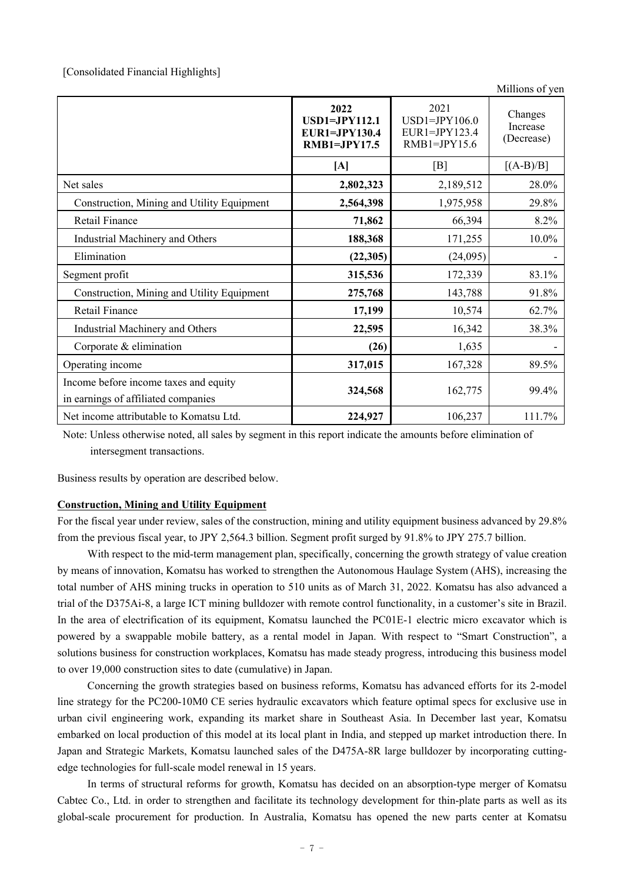#### [Consolidated Financial Highlights]

Millions of yen

|                                                                              | 2022<br>$IISD1 = JPY112.1$<br><b>EUR1=JPY130.4</b><br>$RMB1 = JPY17.5$ | 2021<br>$USD1 = JPY106.0$<br>EUR1=JPY123.4<br>$RMB1=JPY15.6$ | Changes<br>Increase<br>(Decrease) |
|------------------------------------------------------------------------------|------------------------------------------------------------------------|--------------------------------------------------------------|-----------------------------------|
|                                                                              | [A]                                                                    | [B]                                                          | $[(A-B)/B]$                       |
| Net sales                                                                    | 2,802,323                                                              | 2,189,512                                                    | 28.0%                             |
| Construction, Mining and Utility Equipment                                   | 2,564,398                                                              | 1,975,958                                                    | 29.8%                             |
| Retail Finance                                                               | 71,862                                                                 | 66,394                                                       | 8.2%                              |
| Industrial Machinery and Others                                              | 188,368                                                                | 171,255                                                      | 10.0%                             |
| Elimination                                                                  | (22,305)                                                               | (24,095)                                                     |                                   |
| Segment profit                                                               | 315,536                                                                | 172,339                                                      | 83.1%                             |
| Construction, Mining and Utility Equipment                                   | 275,768                                                                | 143,788                                                      | 91.8%                             |
| Retail Finance                                                               | 17,199                                                                 | 10,574                                                       | 62.7%                             |
| Industrial Machinery and Others                                              | 22,595                                                                 | 16,342                                                       | 38.3%                             |
| Corporate & elimination                                                      | (26)                                                                   | 1,635                                                        |                                   |
| Operating income                                                             | 317,015                                                                | 167,328                                                      | 89.5%                             |
| Income before income taxes and equity<br>in earnings of affiliated companies | 324,568                                                                | 162,775                                                      | 99.4%                             |
| Net income attributable to Komatsu Ltd.                                      | 224,927                                                                | 106,237                                                      | 111.7%                            |

 Note: Unless otherwise noted, all sales by segment in this report indicate the amounts before elimination of intersegment transactions.

Business results by operation are described below.

#### **Construction, Mining and Utility Equipment**

For the fiscal year under review, sales of the construction, mining and utility equipment business advanced by 29.8% from the previous fiscal year, to JPY 2,564.3 billion. Segment profit surged by 91.8% to JPY 275.7 billion.

With respect to the mid-term management plan, specifically, concerning the growth strategy of value creation by means of innovation, Komatsu has worked to strengthen the Autonomous Haulage System (AHS), increasing the total number of AHS mining trucks in operation to 510 units as of March 31, 2022. Komatsu has also advanced a trial of the D375Ai-8, a large ICT mining bulldozer with remote control functionality, in a customer's site in Brazil. In the area of electrification of its equipment, Komatsu launched the PC01E-1 electric micro excavator which is powered by a swappable mobile battery, as a rental model in Japan. With respect to "Smart Construction", a solutions business for construction workplaces, Komatsu has made steady progress, introducing this business model to over 19,000 construction sites to date (cumulative) in Japan.

 Concerning the growth strategies based on business reforms, Komatsu has advanced efforts for its 2-model line strategy for the PC200-10M0 CE series hydraulic excavators which feature optimal specs for exclusive use in urban civil engineering work, expanding its market share in Southeast Asia. In December last year, Komatsu embarked on local production of this model at its local plant in India, and stepped up market introduction there. In Japan and Strategic Markets, Komatsu launched sales of the D475A-8R large bulldozer by incorporating cuttingedge technologies for full-scale model renewal in 15 years.

 In terms of structural reforms for growth, Komatsu has decided on an absorption-type merger of Komatsu Cabtec Co., Ltd. in order to strengthen and facilitate its technology development for thin-plate parts as well as its global-scale procurement for production. In Australia, Komatsu has opened the new parts center at Komatsu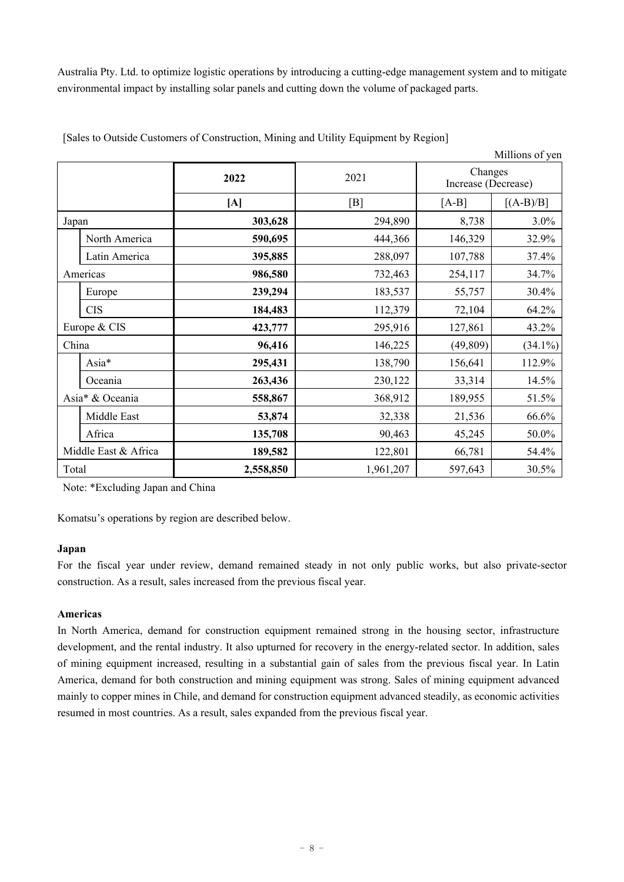Australia Pty. Ltd. to optimize logistic operations by introducing a cutting-edge management system and to mitigate environmental impact by installing solar panels and cutting down the volume of packaged parts.

|                      |               |           |           |                                | Millions of yen |
|----------------------|---------------|-----------|-----------|--------------------------------|-----------------|
|                      |               | 2022      | 2021      | Changes<br>Increase (Decrease) |                 |
|                      |               | [A]       | [B]       | $[A-B]$                        | $[(A-B)/B]$     |
| Japan                |               | 303,628   | 294,890   | 8,738                          | 3.0%            |
|                      | North America | 590,695   | 444,366   | 146,329                        | 32.9%           |
|                      | Latin America | 395,885   | 288,097   | 107,788                        | 37.4%           |
|                      | Americas      | 986,580   | 732,463   | 254,117                        | 34.7%           |
|                      | Europe        | 239,294   | 183,537   | 55,757                         | 30.4%           |
|                      | <b>CIS</b>    | 184,483   | 112,379   | 72,104                         | 64.2%           |
| Europe & CIS         |               | 423,777   | 295,916   | 127,861                        | 43.2%           |
| China                |               | 96,416    | 146,225   | (49, 809)                      | $(34.1\%)$      |
|                      | Asia*         | 295,431   | 138,790   | 156,641                        | 112.9%          |
|                      | Oceania       | 263,436   | 230,122   | 33,314                         | 14.5%           |
| Asia* & Oceania      |               | 558,867   | 368,912   | 189,955                        | 51.5%           |
|                      | Middle East   | 53,874    | 32,338    | 21,536                         | 66.6%           |
|                      | Africa        | 135,708   | 90,463    | 45,245                         | 50.0%           |
| Middle East & Africa |               | 189,582   | 122,801   | 66,781                         | 54.4%           |
| Total                |               | 2,558,850 | 1,961,207 | 597,643                        | 30.5%           |

[Sales to Outside Customers of Construction, Mining and Utility Equipment by Region]

Note: \*Excluding Japan and China

Komatsu's operations by region are described below.

### **Japan**

For the fiscal year under review, demand remained steady in not only public works, but also private-sector construction. As a result, sales increased from the previous fiscal year.

### **Americas**

In North America, demand for construction equipment remained strong in the housing sector, infrastructure development, and the rental industry. It also upturned for recovery in the energy-related sector. In addition, sales of mining equipment increased, resulting in a substantial gain of sales from the previous fiscal year. In Latin America, demand for both construction and mining equipment was strong. Sales of mining equipment advanced mainly to copper mines in Chile, and demand for construction equipment advanced steadily, as economic activities resumed in most countries. As a result, sales expanded from the previous fiscal year.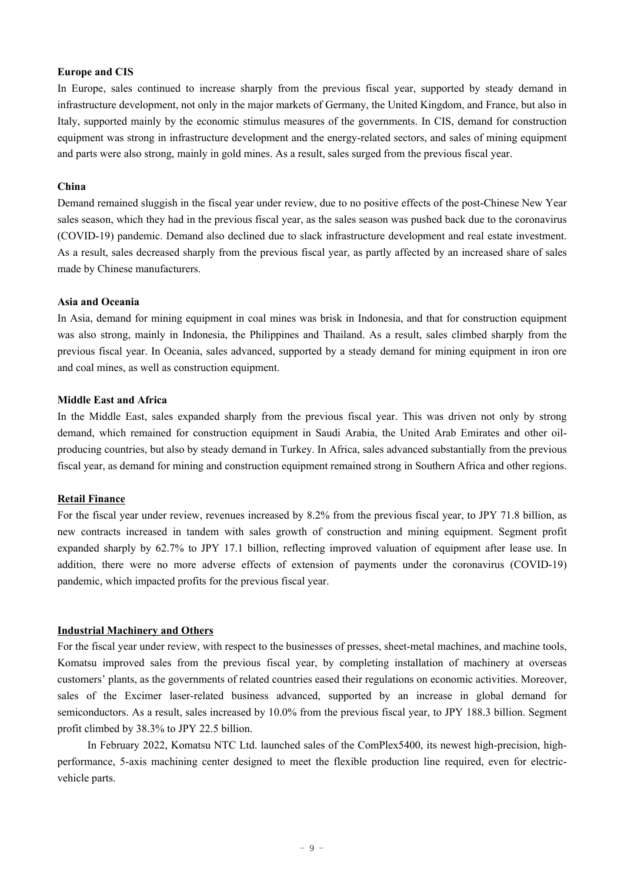#### **Europe and CIS**

In Europe, sales continued to increase sharply from the previous fiscal year, supported by steady demand in infrastructure development, not only in the major markets of Germany, the United Kingdom, and France, but also in Italy, supported mainly by the economic stimulus measures of the governments. In CIS, demand for construction equipment was strong in infrastructure development and the energy-related sectors, and sales of mining equipment and parts were also strong, mainly in gold mines. As a result, sales surged from the previous fiscal year.

#### **China**

Demand remained sluggish in the fiscal year under review, due to no positive effects of the post-Chinese New Year sales season, which they had in the previous fiscal year, as the sales season was pushed back due to the coronavirus (COVID-19) pandemic. Demand also declined due to slack infrastructure development and real estate investment. As a result, sales decreased sharply from the previous fiscal year, as partly affected by an increased share of sales made by Chinese manufacturers.

#### **Asia and Oceania**

In Asia, demand for mining equipment in coal mines was brisk in Indonesia, and that for construction equipment was also strong, mainly in Indonesia, the Philippines and Thailand. As a result, sales climbed sharply from the previous fiscal year. In Oceania, sales advanced, supported by a steady demand for mining equipment in iron ore and coal mines, as well as construction equipment.

#### **Middle East and Africa**

In the Middle East, sales expanded sharply from the previous fiscal year. This was driven not only by strong demand, which remained for construction equipment in Saudi Arabia, the United Arab Emirates and other oilproducing countries, but also by steady demand in Turkey. In Africa, sales advanced substantially from the previous fiscal year, as demand for mining and construction equipment remained strong in Southern Africa and other regions.

#### **Retail Finance**

For the fiscal year under review, revenues increased by 8.2% from the previous fiscal year, to JPY 71.8 billion, as new contracts increased in tandem with sales growth of construction and mining equipment. Segment profit expanded sharply by 62.7% to JPY 17.1 billion, reflecting improved valuation of equipment after lease use. In addition, there were no more adverse effects of extension of payments under the coronavirus (COVID-19) pandemic, which impacted profits for the previous fiscal year.

#### **Industrial Machinery and Others**

For the fiscal year under review, with respect to the businesses of presses, sheet-metal machines, and machine tools, Komatsu improved sales from the previous fiscal year, by completing installation of machinery at overseas customers' plants, as the governments of related countries eased their regulations on economic activities. Moreover, sales of the Excimer laser-related business advanced, supported by an increase in global demand for semiconductors. As a result, sales increased by 10.0% from the previous fiscal year, to JPY 188.3 billion. Segment profit climbed by 38.3% to JPY 22.5 billion.

 In February 2022, Komatsu NTC Ltd. launched sales of the ComPlex5400, its newest high-precision, highperformance, 5-axis machining center designed to meet the flexible production line required, even for electricvehicle parts.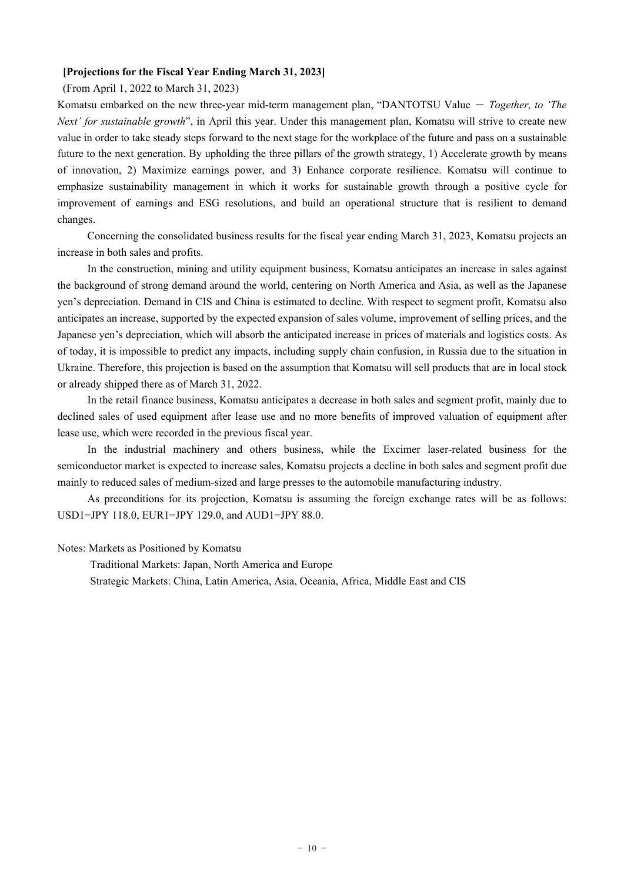#### **[Projections for the Fiscal Year Ending March 31, 2023]**

(From April 1, 2022 to March 31, 2023)

Komatsu embarked on the new three-year mid-term management plan, "DANTOTSU Value - *Together, to 'The Next' for sustainable growth*", in April this year. Under this management plan, Komatsu will strive to create new value in order to take steady steps forward to the next stage for the workplace of the future and pass on a sustainable future to the next generation. By upholding the three pillars of the growth strategy, 1) Accelerate growth by means of innovation, 2) Maximize earnings power, and 3) Enhance corporate resilience. Komatsu will continue to emphasize sustainability management in which it works for sustainable growth through a positive cycle for improvement of earnings and ESG resolutions, and build an operational structure that is resilient to demand changes.

 Concerning the consolidated business results for the fiscal year ending March 31, 2023, Komatsu projects an increase in both sales and profits.

 In the construction, mining and utility equipment business, Komatsu anticipates an increase in sales against the background of strong demand around the world, centering on North America and Asia, as well as the Japanese yen's depreciation. Demand in CIS and China is estimated to decline. With respect to segment profit, Komatsu also anticipates an increase, supported by the expected expansion of sales volume, improvement of selling prices, and the Japanese yen's depreciation, which will absorb the anticipated increase in prices of materials and logistics costs. As of today, it is impossible to predict any impacts, including supply chain confusion, in Russia due to the situation in Ukraine. Therefore, this projection is based on the assumption that Komatsu will sell products that are in local stock or already shipped there as of March 31, 2022.

 In the retail finance business, Komatsu anticipates a decrease in both sales and segment profit, mainly due to declined sales of used equipment after lease use and no more benefits of improved valuation of equipment after lease use, which were recorded in the previous fiscal year.

 In the industrial machinery and others business, while the Excimer laser-related business for the semiconductor market is expected to increase sales, Komatsu projects a decline in both sales and segment profit due mainly to reduced sales of medium-sized and large presses to the automobile manufacturing industry.

 As preconditions for its projection, Komatsu is assuming the foreign exchange rates will be as follows: USD1=JPY 118.0, EUR1=JPY 129.0, and AUD1=JPY 88.0.

Notes: Markets as Positioned by Komatsu

 Traditional Markets: Japan, North America and Europe Strategic Markets: China, Latin America, Asia, Oceania, Africa, Middle East and CIS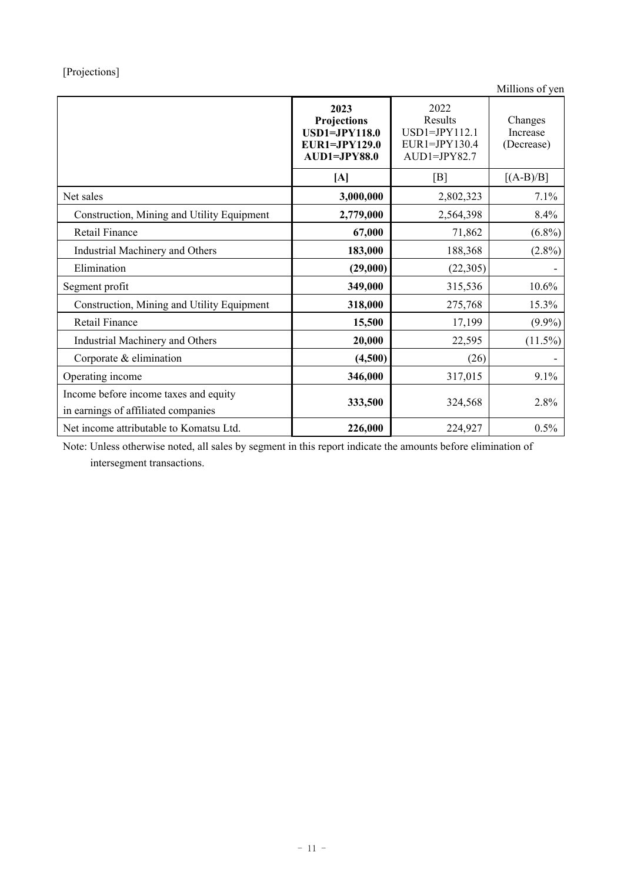# [Projections]

Millions of yen

|                                                                              | 2023<br><b>Projections</b><br><b>USD1=JPY118.0</b><br><b>EUR1=JPY129.0</b><br>$AUD1=JPY88.0$ | 2022<br>Results<br>$USD1 = JPY112.1$<br>EUR1=JPY130.4<br>$AUD1=JPY82.7$ | Changes<br>Increase<br>(Decrease) |
|------------------------------------------------------------------------------|----------------------------------------------------------------------------------------------|-------------------------------------------------------------------------|-----------------------------------|
|                                                                              | [A]                                                                                          | [B]                                                                     | $[(A-B)/B]$                       |
| Net sales                                                                    | 3,000,000                                                                                    | 2,802,323                                                               | 7.1%                              |
| Construction, Mining and Utility Equipment                                   | 2,779,000                                                                                    | 2,564,398                                                               | 8.4%                              |
| Retail Finance                                                               | 67,000                                                                                       | 71,862                                                                  | $(6.8\%)$                         |
| Industrial Machinery and Others                                              | 183,000                                                                                      | 188,368                                                                 | $(2.8\%)$                         |
| Elimination                                                                  | (29,000)                                                                                     | (22, 305)                                                               |                                   |
| Segment profit                                                               | 349,000                                                                                      | 315,536                                                                 | 10.6%                             |
| Construction, Mining and Utility Equipment                                   | 318,000                                                                                      | 275,768                                                                 | 15.3%                             |
| Retail Finance                                                               | 15,500                                                                                       | 17,199                                                                  | $(9.9\%)$                         |
| Industrial Machinery and Others                                              | 20,000                                                                                       | 22,595                                                                  | $(11.5\%)$                        |
| Corporate & elimination                                                      | (4,500)                                                                                      | (26)                                                                    |                                   |
| Operating income                                                             | 346,000                                                                                      | 317,015                                                                 | 9.1%                              |
| Income before income taxes and equity<br>in earnings of affiliated companies | 333,500                                                                                      | 324,568                                                                 | 2.8%                              |
| Net income attributable to Komatsu Ltd.                                      | 226,000                                                                                      | 224,927                                                                 | 0.5%                              |

 Note: Unless otherwise noted, all sales by segment in this report indicate the amounts before elimination of intersegment transactions.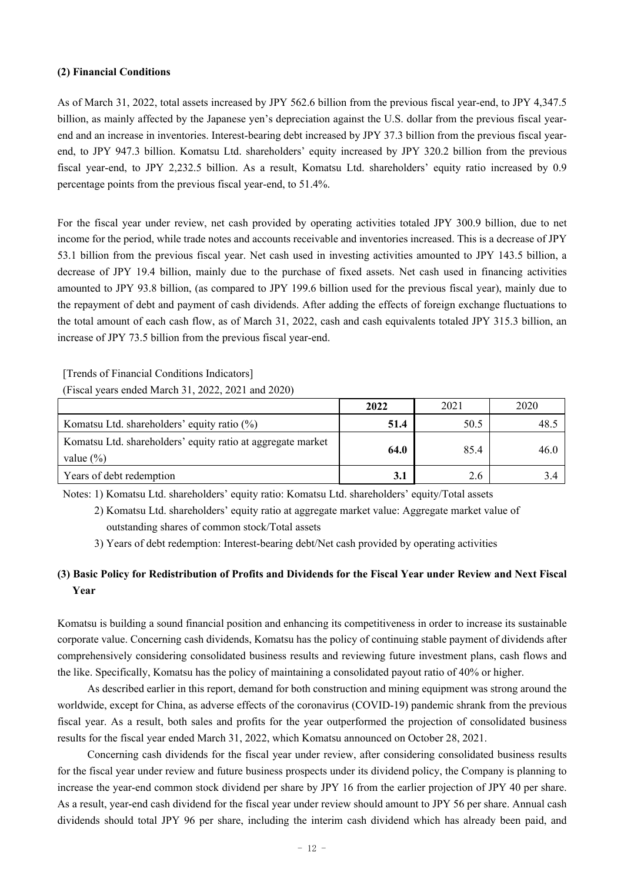#### **(2) Financial Conditions**

As of March 31, 2022, total assets increased by JPY 562.6 billion from the previous fiscal year-end, to JPY 4,347.5 billion, as mainly affected by the Japanese yen's depreciation against the U.S. dollar from the previous fiscal yearend and an increase in inventories. Interest-bearing debt increased by JPY 37.3 billion from the previous fiscal yearend, to JPY 947.3 billion. Komatsu Ltd. shareholders' equity increased by JPY 320.2 billion from the previous fiscal year-end, to JPY 2,232.5 billion. As a result, Komatsu Ltd. shareholders' equity ratio increased by 0.9 percentage points from the previous fiscal year-end, to 51.4%.

For the fiscal year under review, net cash provided by operating activities totaled JPY 300.9 billion, due to net income for the period, while trade notes and accounts receivable and inventories increased. This is a decrease of JPY 53.1 billion from the previous fiscal year. Net cash used in investing activities amounted to JPY 143.5 billion, a decrease of JPY 19.4 billion, mainly due to the purchase of fixed assets. Net cash used in financing activities amounted to JPY 93.8 billion, (as compared to JPY 199.6 billion used for the previous fiscal year), mainly due to the repayment of debt and payment of cash dividends. After adding the effects of foreign exchange fluctuations to the total amount of each cash flow, as of March 31, 2022, cash and cash equivalents totaled JPY 315.3 billion, an increase of JPY 73.5 billion from the previous fiscal year-end.

[Trends of Financial Conditions Indicators]

(Fiscal years ended March 31, 2022, 2021 and 2020)

|                                                                              | 2022 | 2021 | 2020 |
|------------------------------------------------------------------------------|------|------|------|
| Komatsu Ltd. shareholders' equity ratio (%)                                  | 51.4 | 50.5 | 48.: |
| Komatsu Ltd. shareholders' equity ratio at aggregate market<br>value $(\% )$ | 64.0 | 85.4 | 46.0 |
| Years of debt redemption                                                     | 3.1  | 2.6  | 3.4  |

Notes: 1) Komatsu Ltd. shareholders' equity ratio: Komatsu Ltd. shareholders' equity/Total assets

2) Komatsu Ltd. shareholders' equity ratio at aggregate market value: Aggregate market value of outstanding shares of common stock/Total assets

3) Years of debt redemption: Interest-bearing debt/Net cash provided by operating activities

# **(3) Basic Policy for Redistribution of Profits and Dividends for the Fiscal Year under Review and Next Fiscal Year**

Komatsu is building a sound financial position and enhancing its competitiveness in order to increase its sustainable corporate value. Concerning cash dividends, Komatsu has the policy of continuing stable payment of dividends after comprehensively considering consolidated business results and reviewing future investment plans, cash flows and the like. Specifically, Komatsu has the policy of maintaining a consolidated payout ratio of 40% or higher.

 As described earlier in this report, demand for both construction and mining equipment was strong around the worldwide, except for China, as adverse effects of the coronavirus (COVID-19) pandemic shrank from the previous fiscal year. As a result, both sales and profits for the year outperformed the projection of consolidated business results for the fiscal year ended March 31, 2022, which Komatsu announced on October 28, 2021.

 Concerning cash dividends for the fiscal year under review, after considering consolidated business results for the fiscal year under review and future business prospects under its dividend policy, the Company is planning to increase the year-end common stock dividend per share by JPY 16 from the earlier projection of JPY 40 per share. As a result, year-end cash dividend for the fiscal year under review should amount to JPY 56 per share. Annual cash dividends should total JPY 96 per share, including the interim cash dividend which has already been paid, and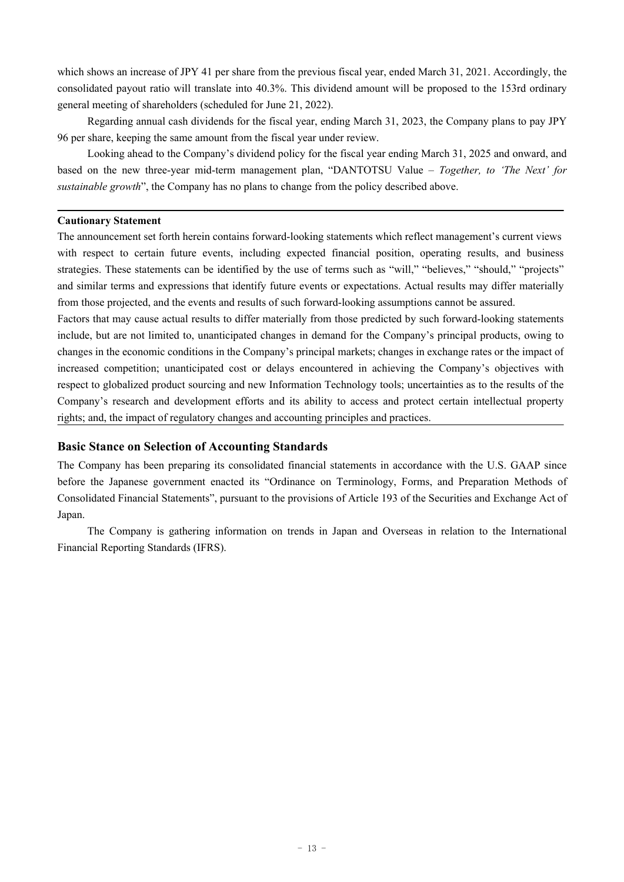which shows an increase of JPY 41 per share from the previous fiscal year, ended March 31, 2021. Accordingly, the consolidated payout ratio will translate into 40.3%. This dividend amount will be proposed to the 153rd ordinary general meeting of shareholders (scheduled for June 21, 2022).

 Regarding annual cash dividends for the fiscal year, ending March 31, 2023, the Company plans to pay JPY 96 per share, keeping the same amount from the fiscal year under review.

 Looking ahead to the Company's dividend policy for the fiscal year ending March 31, 2025 and onward, and based on the new three-year mid-term management plan, "DANTOTSU Value – *Together, to 'The Next' for sustainable growth*", the Company has no plans to change from the policy described above.

#### **Cautionary Statement**

The announcement set forth herein contains forward-looking statements which reflect management's current views with respect to certain future events, including expected financial position, operating results, and business strategies. These statements can be identified by the use of terms such as "will," "believes," "should," "projects" and similar terms and expressions that identify future events or expectations. Actual results may differ materially from those projected, and the events and results of such forward-looking assumptions cannot be assured.

Factors that may cause actual results to differ materially from those predicted by such forward-looking statements include, but are not limited to, unanticipated changes in demand for the Company's principal products, owing to changes in the economic conditions in the Company's principal markets; changes in exchange rates or the impact of increased competition; unanticipated cost or delays encountered in achieving the Company's objectives with respect to globalized product sourcing and new Information Technology tools; uncertainties as to the results of the Company's research and development efforts and its ability to access and protect certain intellectual property rights; and, the impact of regulatory changes and accounting principles and practices.

### **Basic Stance on Selection of Accounting Standards**

The Company has been preparing its consolidated financial statements in accordance with the U.S. GAAP since before the Japanese government enacted its "Ordinance on Terminology, Forms, and Preparation Methods of Consolidated Financial Statements", pursuant to the provisions of Article 193 of the Securities and Exchange Act of Japan.

 The Company is gathering information on trends in Japan and Overseas in relation to the International Financial Reporting Standards (IFRS).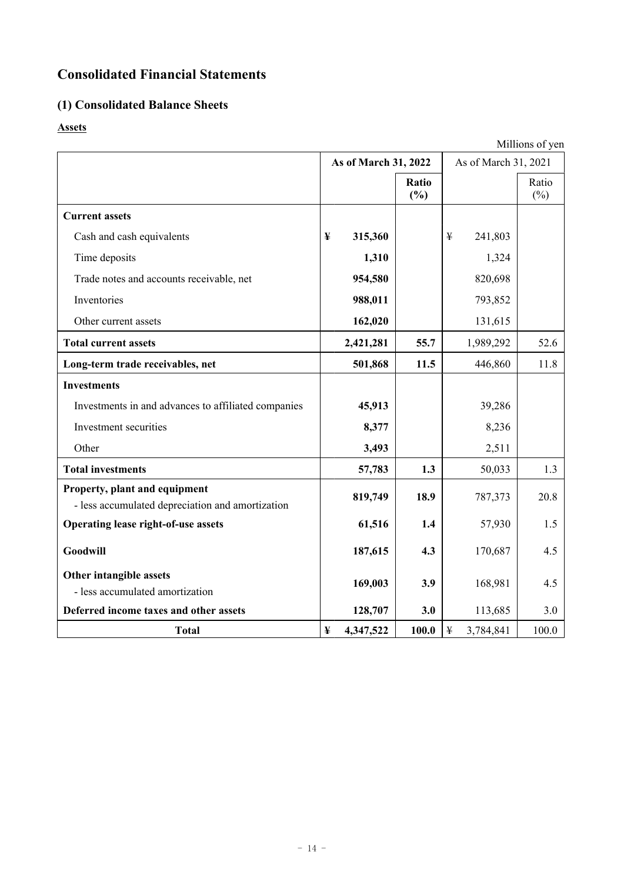# **Consolidated Financial Statements**

# **(1) Consolidated Balance Sheets**

# **Assets**

| Millions of yen                                                                   |                         |              |                      |                 |  |  |  |  |
|-----------------------------------------------------------------------------------|-------------------------|--------------|----------------------|-----------------|--|--|--|--|
|                                                                                   | As of March 31, 2022    |              | As of March 31, 2021 |                 |  |  |  |  |
|                                                                                   |                         | Ratio<br>(%) |                      | Ratio<br>$(\%)$ |  |  |  |  |
| <b>Current assets</b>                                                             |                         |              |                      |                 |  |  |  |  |
| Cash and cash equivalents                                                         | ¥<br>315,360            |              | ¥<br>241,803         |                 |  |  |  |  |
| Time deposits                                                                     | 1,310                   |              | 1,324                |                 |  |  |  |  |
| Trade notes and accounts receivable, net                                          | 954,580                 |              | 820,698              |                 |  |  |  |  |
| Inventories                                                                       | 988,011                 |              | 793,852              |                 |  |  |  |  |
| Other current assets                                                              | 162,020                 |              | 131,615              |                 |  |  |  |  |
| <b>Total current assets</b>                                                       | 2,421,281               | 55.7         | 1,989,292            | 52.6            |  |  |  |  |
| Long-term trade receivables, net                                                  | 501,868                 | 11.5         | 446,860              | 11.8            |  |  |  |  |
| <b>Investments</b>                                                                |                         |              |                      |                 |  |  |  |  |
| Investments in and advances to affiliated companies                               | 45,913                  |              | 39,286               |                 |  |  |  |  |
| Investment securities                                                             | 8,377                   |              | 8,236                |                 |  |  |  |  |
| Other                                                                             | 3,493                   |              | 2,511                |                 |  |  |  |  |
| <b>Total investments</b>                                                          | 57,783                  | 1.3          | 50,033               | 1.3             |  |  |  |  |
| Property, plant and equipment<br>- less accumulated depreciation and amortization | 819,749                 | 18.9         | 787,373              | 20.8            |  |  |  |  |
| Operating lease right-of-use assets                                               | 61,516                  | 1.4          | 57,930               | 1.5             |  |  |  |  |
| Goodwill                                                                          | 187,615                 | 4.3          | 170,687              | 4.5             |  |  |  |  |
| Other intangible assets<br>- less accumulated amortization                        | 169,003                 | 3.9          | 168,981              | 4.5             |  |  |  |  |
| Deferred income taxes and other assets                                            | 128,707                 | 3.0          | 113,685              | 3.0             |  |  |  |  |
| <b>Total</b>                                                                      | $\ddagger$<br>4,347,522 | 100.0        | ¥<br>3,784,841       | 100.0           |  |  |  |  |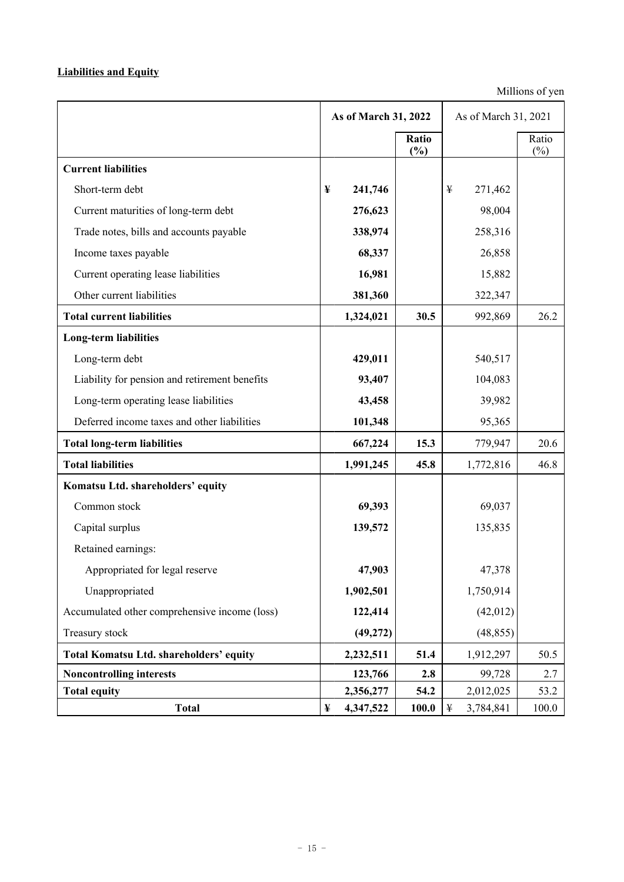# **Liabilities and Equity**

Millions of yen

|                                                | As of March 31, 2022 |              | As of March 31, 2021 |                 |
|------------------------------------------------|----------------------|--------------|----------------------|-----------------|
|                                                |                      | Ratio<br>(%) |                      | Ratio<br>$(\%)$ |
| <b>Current liabilities</b>                     |                      |              |                      |                 |
| Short-term debt                                | 241,746<br>¥         |              | ¥<br>271,462         |                 |
| Current maturities of long-term debt           | 276,623              |              | 98,004               |                 |
| Trade notes, bills and accounts payable        | 338,974              |              | 258,316              |                 |
| Income taxes payable                           | 68,337               |              | 26,858               |                 |
| Current operating lease liabilities            | 16,981               |              | 15,882               |                 |
| Other current liabilities                      | 381,360              |              | 322,347              |                 |
| <b>Total current liabilities</b>               | 1,324,021            | 30.5         | 992,869              | 26.2            |
| <b>Long-term liabilities</b>                   |                      |              |                      |                 |
| Long-term debt                                 | 429,011              |              | 540,517              |                 |
| Liability for pension and retirement benefits  | 93,407               |              | 104,083              |                 |
| Long-term operating lease liabilities          | 43,458               |              | 39,982               |                 |
| Deferred income taxes and other liabilities    | 101,348              |              | 95,365               |                 |
| <b>Total long-term liabilities</b>             | 667,224              | 15.3         | 779,947              | 20.6            |
| <b>Total liabilities</b>                       | 1,991,245            | 45.8         | 1,772,816            | 46.8            |
| Komatsu Ltd. shareholders' equity              |                      |              |                      |                 |
| Common stock                                   | 69,393               |              | 69,037               |                 |
| Capital surplus                                | 139,572              |              | 135,835              |                 |
| Retained earnings:                             |                      |              |                      |                 |
| Appropriated for legal reserve                 | 47,903               |              | 47,378               |                 |
| Unappropriated                                 | 1,902,501            |              | 1,750,914            |                 |
| Accumulated other comprehensive income (loss)  | 122,414              |              | (42, 012)            |                 |
| Treasury stock                                 | (49, 272)            |              | (48, 855)            |                 |
| <b>Total Komatsu Ltd. shareholders' equity</b> | 2,232,511            | 51.4         | 1,912,297            | 50.5            |
| <b>Noncontrolling interests</b>                | 123,766              | 2.8          | 99,728               | 2.7             |
| <b>Total equity</b>                            | 2,356,277            | 54.2         | 2,012,025            | 53.2            |
| <b>Total</b>                                   | 4,347,522<br>¥       | 100.0        | 3,784,841<br>¥       | 100.0           |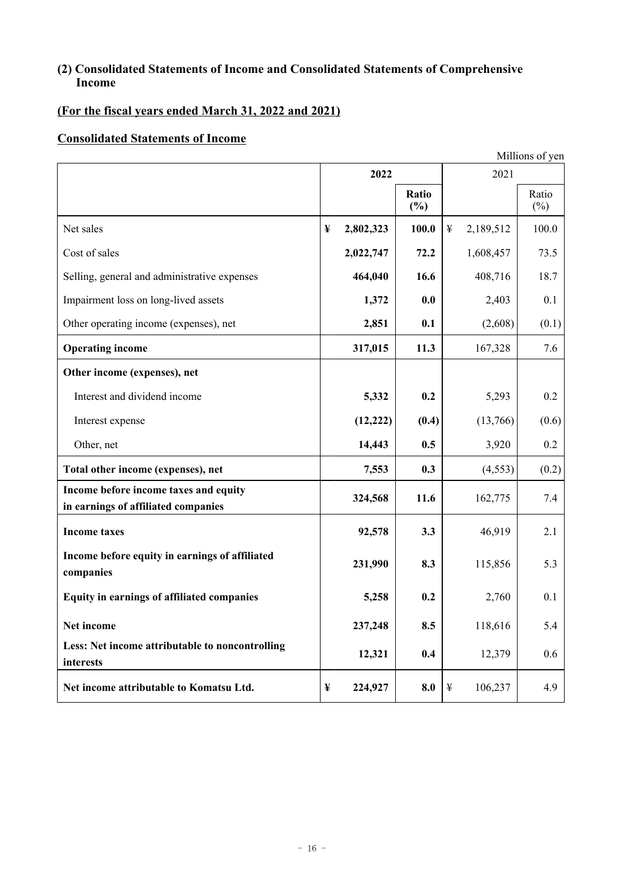# **(2) Consolidated Statements of Income and Consolidated Statements of Comprehensive Income**

# **(For the fiscal years ended March 31, 2022 and 2021)**

# **Consolidated Statements of Income**

|                                                                              |   |           |              |   |           | Millions of yen |
|------------------------------------------------------------------------------|---|-----------|--------------|---|-----------|-----------------|
|                                                                              |   | 2022      |              |   | 2021      |                 |
|                                                                              |   |           | Ratio<br>(%) |   |           | Ratio<br>$(\%)$ |
| Net sales                                                                    | ¥ | 2,802,323 | 100.0        | ¥ | 2,189,512 | 100.0           |
| Cost of sales                                                                |   | 2,022,747 | 72.2         |   | 1,608,457 | 73.5            |
| Selling, general and administrative expenses                                 |   | 464,040   | 16.6         |   | 408,716   | 18.7            |
| Impairment loss on long-lived assets                                         |   | 1,372     | 0.0          |   | 2,403     | 0.1             |
| Other operating income (expenses), net                                       |   | 2,851     | 0.1          |   | (2,608)   | (0.1)           |
| <b>Operating income</b>                                                      |   | 317,015   | 11.3         |   | 167,328   | 7.6             |
| Other income (expenses), net                                                 |   |           |              |   |           |                 |
| Interest and dividend income                                                 |   | 5,332     | 0.2          |   | 5,293     | 0.2             |
| Interest expense                                                             |   | (12, 222) | (0.4)        |   | (13,766)  | (0.6)           |
| Other, net                                                                   |   | 14,443    | 0.5          |   | 3,920     | 0.2             |
| Total other income (expenses), net                                           |   | 7,553     | 0.3          |   | (4, 553)  | (0.2)           |
| Income before income taxes and equity<br>in earnings of affiliated companies |   | 324,568   | 11.6         |   | 162,775   | 7.4             |
| <b>Income taxes</b>                                                          |   | 92,578    | 3.3          |   | 46,919    | 2.1             |
| Income before equity in earnings of affiliated<br>companies                  |   | 231,990   | 8.3          |   | 115,856   | 5.3             |
| Equity in earnings of affiliated companies                                   |   | 5,258     | 0.2          |   | 2,760     | 0.1             |
| Net income                                                                   |   | 237,248   | 8.5          |   | 118,616   | 5.4             |
| Less: Net income attributable to noncontrolling<br>interests                 |   | 12,321    | 0.4          |   | 12,379    | 0.6             |
| Net income attributable to Komatsu Ltd.                                      | ¥ | 224,927   | 8.0          | ¥ | 106,237   | 4.9             |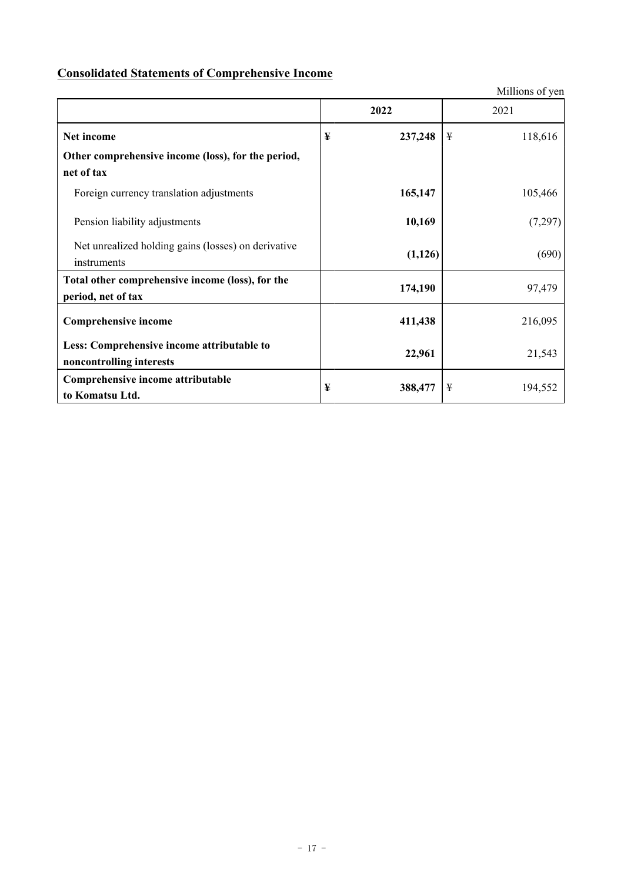# **Consolidated Statements of Comprehensive Income**

Millions of yen

|                                                                        | 2022         | 2021         |
|------------------------------------------------------------------------|--------------|--------------|
| Net income                                                             | ¥<br>237,248 | 118,616<br>¥ |
| Other comprehensive income (loss), for the period,                     |              |              |
| net of tax                                                             |              |              |
| Foreign currency translation adjustments                               | 165,147      | 105,466      |
| Pension liability adjustments                                          | 10,169       | (7,297)      |
| Net unrealized holding gains (losses) on derivative                    | (1, 126)     | (690)        |
| instruments                                                            |              |              |
| Total other comprehensive income (loss), for the<br>period, net of tax | 174,190      | 97,479       |
| <b>Comprehensive income</b>                                            | 411,438      | 216,095      |
| Less: Comprehensive income attributable to<br>noncontrolling interests | 22,961       | 21,543       |
| Comprehensive income attributable<br>to Komatsu Ltd.                   | ¥<br>388,477 | ¥<br>194,552 |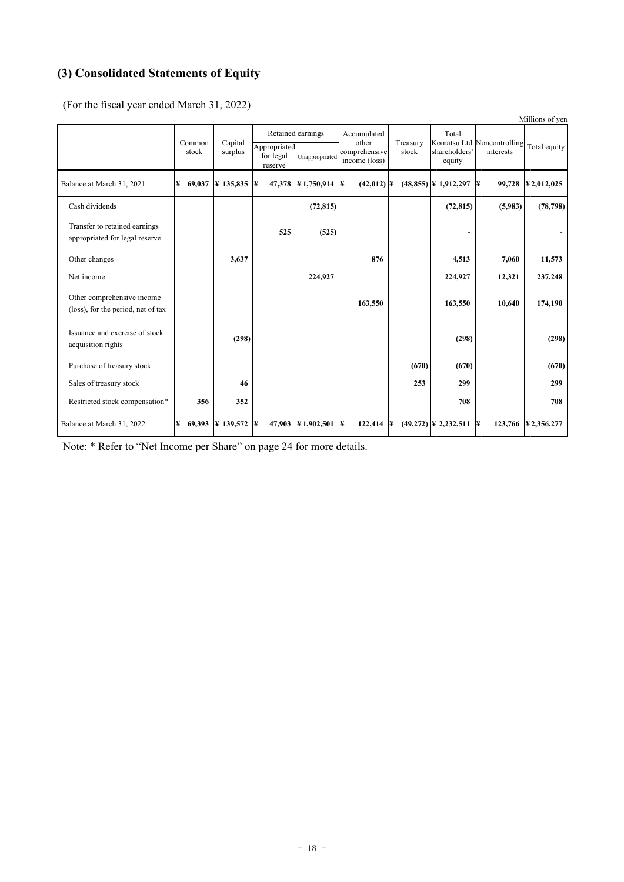# **(3) Consolidated Statements of Equity**

(For the fiscal year ended March 31, 2022)

|                                                                  |             |             |                                      |                       |                                        |          |                         |                             | Millions of yen             |
|------------------------------------------------------------------|-------------|-------------|--------------------------------------|-----------------------|----------------------------------------|----------|-------------------------|-----------------------------|-----------------------------|
|                                                                  | Common      | Capital     |                                      | Retained earnings     | Accumulated<br>other                   | Treasury | Total                   | Komatsu Ltd. Noncontrolling |                             |
|                                                                  | stock       | surplus     | Appropriated<br>for legal<br>reserve | Unappropriated        | comprehensive<br>income (loss)         | stock    | shareholders'<br>equity | interests                   | Total equity                |
| Balance at March 31, 2021                                        | 69,037<br>¥ | ¥ 135,835 ¥ |                                      | 47,378 \\ \ 1,750,914 | $(42,012)$ \\ended \frac{42,012}}<br>¥ |          | $(48,855)$ \[ 1,912,297 | 99,728<br>-l¥               | $\frac{1}{2}$ , 2, 012, 025 |
| Cash dividends                                                   |             |             |                                      | (72, 815)             |                                        |          | (72, 815)               | (5,983)                     | (78, 798)                   |
| Transfer to retained earnings<br>appropriated for legal reserve  |             |             | 525                                  | (525)                 |                                        |          |                         |                             |                             |
| Other changes                                                    |             | 3,637       |                                      |                       | 876                                    |          | 4,513                   | 7,060                       | 11,573                      |
| Net income                                                       |             |             |                                      | 224,927               |                                        |          | 224,927                 | 12,321                      | 237,248                     |
| Other comprehensive income<br>(loss), for the period, net of tax |             |             |                                      |                       | 163,550                                |          | 163,550                 | 10,640                      | 174,190                     |
| Issuance and exercise of stock<br>acquisition rights             |             | (298)       |                                      |                       |                                        |          | (298)                   |                             | (298)                       |
| Purchase of treasury stock                                       |             |             |                                      |                       |                                        | (670)    | (670)                   |                             | (670)                       |
| Sales of treasury stock                                          |             | 46          |                                      |                       |                                        | 253      | 299                     |                             | 299                         |
| Restricted stock compensation*                                   | 356         | 352         |                                      |                       |                                        |          | 708                     |                             | 708                         |
| Balance at March 31, 2022                                        | 69,393<br>¥ | ¥ 139,572   | 47,903<br>l¥.                        | ¥1,902,501            | 122,414                                | l¥       | $(49,272)$ \\ 2,232,511 | 123,766<br>Ι¥               | $\frac{1}{2}$ , 2,356,277   |

Note: \* Refer to "Net Income per Share" on page 24 for more details.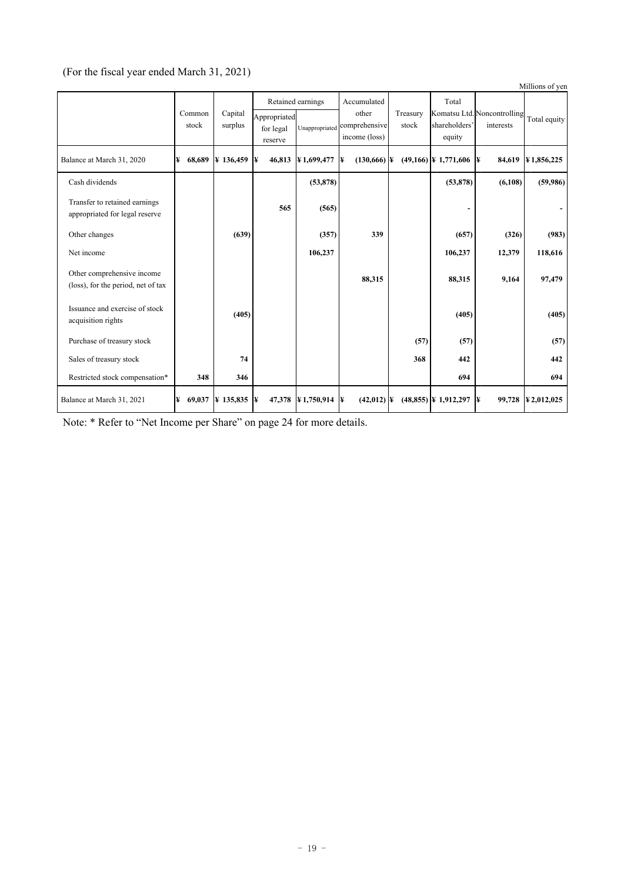# (For the fiscal year ended March 31, 2021)

|                                                                  |                 |                    |                                      |                                     |                                                        |                   |                                  |                                          | Millions of yen |
|------------------------------------------------------------------|-----------------|--------------------|--------------------------------------|-------------------------------------|--------------------------------------------------------|-------------------|----------------------------------|------------------------------------------|-----------------|
|                                                                  | Common<br>stock | Capital<br>surplus | Appropriated<br>for legal<br>reserve | Retained earnings<br>Unappropriated | Accumulated<br>other<br>comprehensive<br>income (loss) | Treasury<br>stock | Total<br>shareholders'<br>equity | Komatsu Ltd. Noncontrolling<br>interests | Total equity    |
| Balance at March 31, 2020                                        | 68.689<br>¥     | ¥ 136,459          | ¥<br>46.813                          | ¥1,699,477                          | $(130,666)$ \\epsil\frac{i}{\$}}<br>¥                  |                   |                                  | 84,619                                   | ¥1,856,225      |
| Cash dividends                                                   |                 |                    |                                      | (53, 878)                           |                                                        |                   | (53, 878)                        | (6,108)                                  | (59,986)        |
| Transfer to retained earnings<br>appropriated for legal reserve  |                 |                    | 565                                  | (565)                               |                                                        |                   |                                  |                                          |                 |
| Other changes                                                    |                 | (639)              |                                      | (357)                               | 339                                                    |                   | (657)                            | (326)                                    | (983)           |
| Net income                                                       |                 |                    |                                      | 106,237                             |                                                        |                   | 106,237                          | 12,379                                   | 118,616         |
| Other comprehensive income<br>(loss), for the period, net of tax |                 |                    |                                      |                                     | 88,315                                                 |                   | 88,315                           | 9,164                                    | 97,479          |
| Issuance and exercise of stock<br>acquisition rights             |                 | (405)              |                                      |                                     |                                                        |                   | (405)                            |                                          | (405)           |
| Purchase of treasury stock                                       |                 |                    |                                      |                                     |                                                        | (57)              | (57)                             |                                          | (57)            |
| Sales of treasury stock                                          |                 | 74                 |                                      |                                     |                                                        | 368               | 442                              |                                          | 442             |
| Restricted stock compensation*                                   | 348             | 346                |                                      |                                     |                                                        |                   | 694                              |                                          | 694             |
| Balance at March 31, 2021                                        | l¥.<br>69,037   | ¥ 135,835 ¥        | 47,378                               | $\frac{1}{2}$ 1,750,914             | $(42,012)$ ¥<br>¥                                      |                   | $(48,855)$ \[ 1,912,297          | 99,728<br><b>EX</b>                      | ¥2,012,025      |

Note: \* Refer to "Net Income per Share" on page 24 for more details.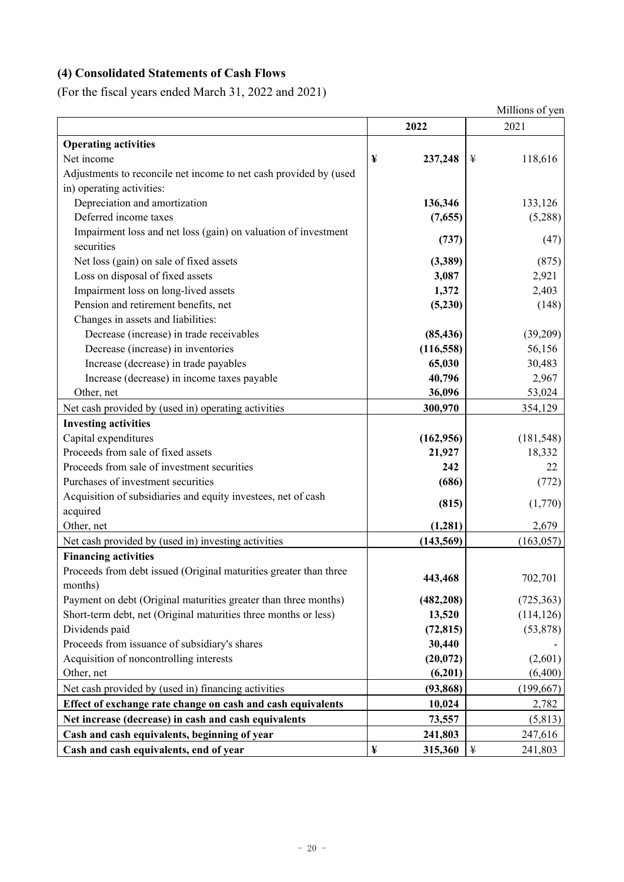# **(4) Consolidated Statements of Cash Flows**

(For the fiscal years ended March 31, 2022 and 2021)

|                                                                   |                         | Millions of yen |
|-------------------------------------------------------------------|-------------------------|-----------------|
|                                                                   | 2022                    | 2021            |
| <b>Operating activities</b>                                       |                         |                 |
| Net income                                                        | ¥<br>237,248            | 118,616<br>¥    |
| Adjustments to reconcile net income to net cash provided by (used |                         |                 |
| in) operating activities:                                         |                         |                 |
| Depreciation and amortization                                     | 136,346                 | 133,126         |
| Deferred income taxes                                             | (7,655)                 | (5,288)         |
| Impairment loss and net loss (gain) on valuation of investment    |                         |                 |
| securities                                                        | (737)                   | (47)            |
| Net loss (gain) on sale of fixed assets                           | (3,389)                 | (875)           |
| Loss on disposal of fixed assets                                  | 3,087                   | 2,921           |
| Impairment loss on long-lived assets                              | 1,372                   | 2,403           |
| Pension and retirement benefits, net                              | (5,230)                 | (148)           |
| Changes in assets and liabilities:                                |                         |                 |
| Decrease (increase) in trade receivables                          | (85, 436)               | (39,209)        |
| Decrease (increase) in inventories                                | (116, 558)              | 56,156          |
| Increase (decrease) in trade payables                             | 65,030                  | 30,483          |
| Increase (decrease) in income taxes payable                       | 40,796                  | 2,967           |
| Other, net                                                        | 36,096                  | 53,024          |
| Net cash provided by (used in) operating activities               | 300,970                 | 354,129         |
| <b>Investing activities</b>                                       |                         |                 |
| Capital expenditures                                              | (162, 956)              | (181, 548)      |
| Proceeds from sale of fixed assets                                | 21,927                  | 18,332          |
| Proceeds from sale of investment securities                       | 242                     | 22              |
| Purchases of investment securities                                | (686)                   | (772)           |
| Acquisition of subsidiaries and equity investees, net of cash     | (815)                   | (1,770)         |
| acquired                                                          |                         |                 |
| Other, net                                                        | (1, 281)                | 2,679           |
| Net cash provided by (used in) investing activities               | (143, 569)              | (163, 057)      |
| <b>Financing activities</b>                                       |                         |                 |
| Proceeds from debt issued (Original maturities greater than three | 443,468                 | 702,701         |
| months)                                                           |                         |                 |
| Payment on debt (Original maturities greater than three months)   | (482, 208)              | (725, 363)      |
| Short-term debt, net (Original maturities three months or less)   | 13,520                  | (114, 126)      |
| Dividends paid                                                    | (72, 815)               | (53, 878)       |
| Proceeds from issuance of subsidiary's shares                     | 30,440                  |                 |
| Acquisition of noncontrolling interests                           | (20,072)                | (2,601)         |
| Other, net                                                        | (6,201)                 | (6,400)         |
| Net cash provided by (used in) financing activities               | (93, 868)               | (199, 667)      |
| Effect of exchange rate change on cash and cash equivalents       | 10,024                  | 2,782           |
| Net increase (decrease) in cash and cash equivalents              | 73,557                  | (5, 813)        |
| Cash and cash equivalents, beginning of year                      | 241,803                 | 247,616         |
| Cash and cash equivalents, end of year                            | $\pmb{\Psi}$<br>315,360 | ¥<br>241,803    |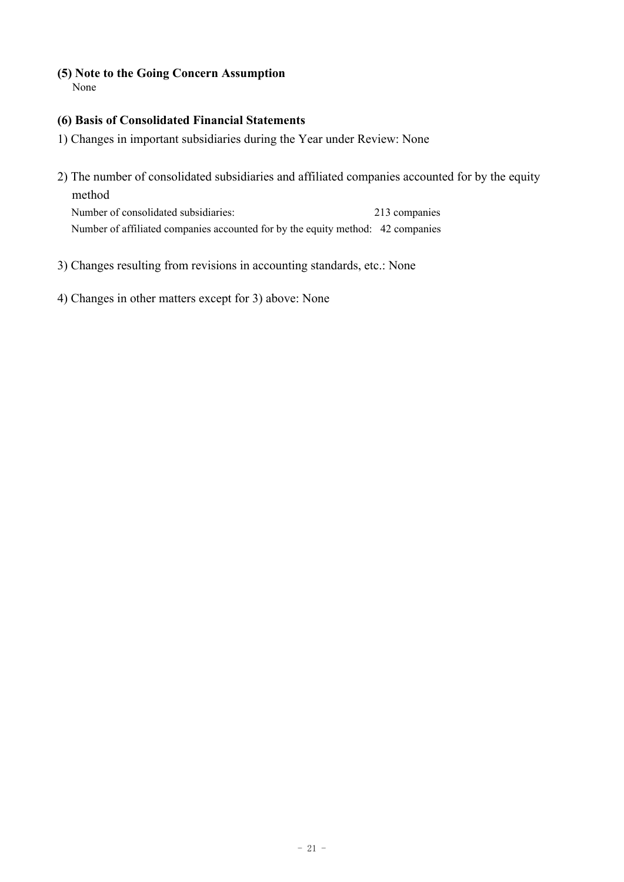# **(5) Note to the Going Concern Assumption**

None

# **(6) Basis of Consolidated Financial Statements**

- 1) Changes in important subsidiaries during the Year under Review: None
- 2) The number of consolidated subsidiaries and affiliated companies accounted for by the equity method Number of consolidated subsidiaries: 213 companies Number of affiliated companies accounted for by the equity method: 42 companies
- 3) Changes resulting from revisions in accounting standards, etc.: None
- 4) Changes in other matters except for 3) above: None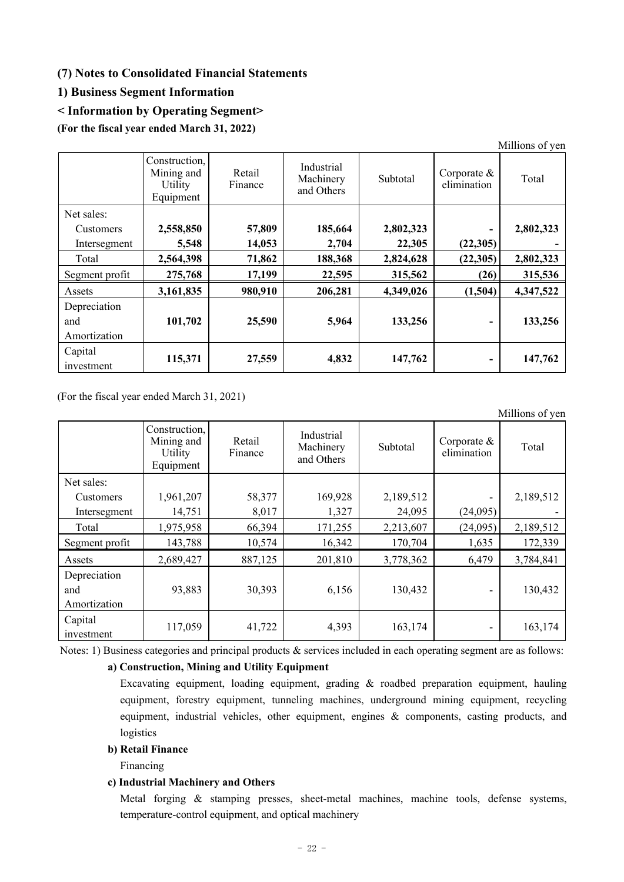### **(7) Notes to Consolidated Financial Statements**

# **1) Business Segment Information**

# **< Information by Operating Segment>**

**(For the fiscal year ended March 31, 2022)**

|                  |                                                     |                   |                                       |           |                              | Millions of yen |
|------------------|-----------------------------------------------------|-------------------|---------------------------------------|-----------|------------------------------|-----------------|
|                  | Construction,<br>Mining and<br>Utility<br>Equipment | Retail<br>Finance | Industrial<br>Machinery<br>and Others | Subtotal  | Corporate $&$<br>elimination | Total           |
| Net sales:       |                                                     |                   |                                       |           |                              |                 |
| <b>Customers</b> | 2,558,850                                           | 57,809            | 185,664                               | 2,802,323 |                              | 2,802,323       |
| Intersegment     | 5,548                                               | 14,053            | 2,704                                 | 22,305    | (22,305)                     |                 |
| Total            | 2,564,398                                           | 71,862            | 188,368                               | 2,824,628 | (22,305)                     | 2,802,323       |
| Segment profit   | 275,768                                             | 17,199            | 22,595                                | 315,562   | (26)                         | 315,536         |
| Assets           | 3,161,835                                           | 980,910           | 206,281                               | 4,349,026 | (1,504)                      | 4,347,522       |
| Depreciation     |                                                     |                   |                                       |           |                              |                 |
| and              | 101,702                                             | 25,590            | 5,964                                 | 133,256   |                              | 133,256         |
| Amortization     |                                                     |                   |                                       |           |                              |                 |
| Capital          | 115,371                                             | 27,559            | 4,832                                 | 147,762   |                              | 147,762         |
| investment       |                                                     |                   |                                       |           |                              |                 |

(For the fiscal year ended March 31, 2021)

|                                     |                                                     |                   |                                       |           |                              | Millions of yen |
|-------------------------------------|-----------------------------------------------------|-------------------|---------------------------------------|-----------|------------------------------|-----------------|
|                                     | Construction,<br>Mining and<br>Utility<br>Equipment | Retail<br>Finance | Industrial<br>Machinery<br>and Others | Subtotal  | Corporate $&$<br>elimination | Total           |
| Net sales:                          |                                                     |                   |                                       |           |                              |                 |
| Customers                           | 1,961,207                                           | 58,377            | 169,928                               | 2,189,512 |                              | 2,189,512       |
| Intersegment                        | 14,751                                              | 8,017             | 1,327                                 | 24,095    | (24,095)                     |                 |
| Total                               | 1,975,958                                           | 66,394            | 171,255                               | 2,213,607 | (24,095)                     | 2,189,512       |
| Segment profit                      | 143,788                                             | 10,574            | 16,342                                | 170,704   | 1,635                        | 172,339         |
| Assets                              | 2,689,427                                           | 887,125           | 201,810                               | 3,778,362 | 6,479                        | 3,784,841       |
| Depreciation<br>and<br>Amortization | 93,883                                              | 30,393            | 6,156                                 | 130,432   |                              | 130,432         |
| Capital<br>investment               | 117,059                                             | 41,722            | 4,393                                 | 163,174   | -                            | 163,174         |

Notes: 1) Business categories and principal products & services included in each operating segment are as follows:

### **a) Construction, Mining and Utility Equipment**

Excavating equipment, loading equipment, grading & roadbed preparation equipment, hauling equipment, forestry equipment, tunneling machines, underground mining equipment, recycling equipment, industrial vehicles, other equipment, engines & components, casting products, and logistics

### **b) Retail Finance**

Financing

### **c) Industrial Machinery and Others**

Metal forging & stamping presses, sheet-metal machines, machine tools, defense systems, temperature-control equipment, and optical machinery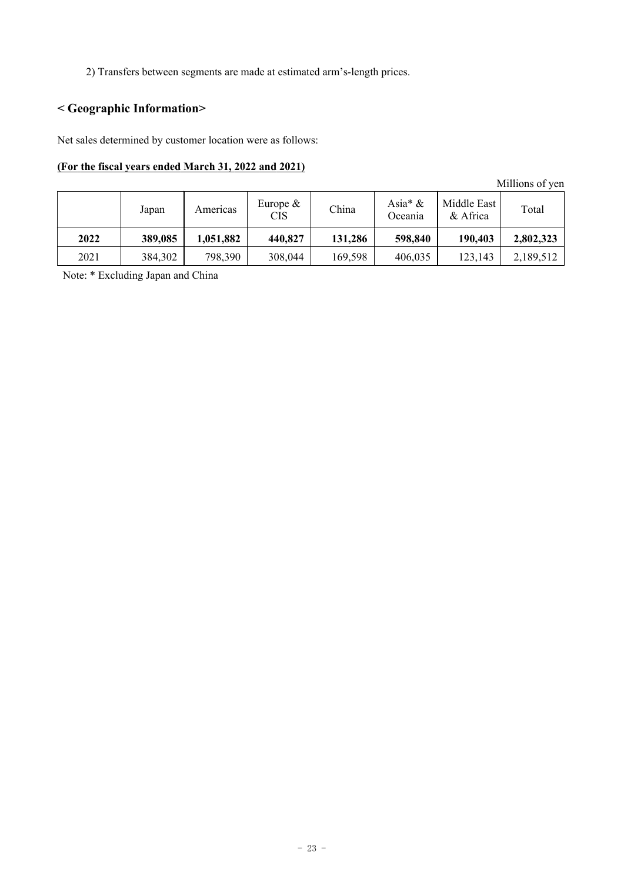2) Transfers between segments are made at estimated arm's-length prices.

# **< Geographic Information>**

Net sales determined by customer location were as follows:

# **(For the fiscal years ended March 31, 2022 and 2021)**

|      |         |           |                          |         |                       |                         | Millions of yen |
|------|---------|-----------|--------------------------|---------|-----------------------|-------------------------|-----------------|
|      | Japan   | Americas  | Europe $&$<br><b>CIS</b> | China   | Asia* $\&$<br>Oceania | Middle East<br>& Africa | Total           |
| 2022 | 389,085 | 1,051,882 | 440,827                  | 131,286 | 598,840               | 190,403                 | 2,802,323       |
| 2021 | 384,302 | 798,390   | 308,044                  | 169,598 | 406,035               | 123,143                 | 2,189,512       |

Note: \* Excluding Japan and China